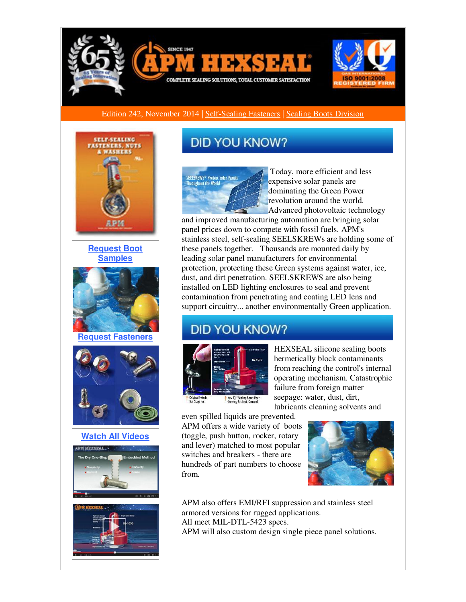

### Edition 242, November 2014 | [Self-Sealing Fasteners](http://r20.rs6.net/tn.jsp?f=001lG_Jval1FIT98H9s2H0yUWX42-kKzSgBm8yqV4WsA28lFm5ZnDTqlteE7oe56TbI_OIfUFclbhp7znIFufA-PAVutrMsLjUh9CWB920eFyUjzDFifSrvy8v32sI5bnF5yzZJljlY6Y0Mi7386D2KuKcWWLOdDGhYIuS8nBUudQX36MI3Xm0MYIY7VpAVBQagfz3ANuaFMznGw3HZywdlHKlEA8dxOyalGJCCe7OCKnUiyaXNAmNkjUabXlFBQWq_MiP3-sS_HoMBH8ksyORSQheka2z-TYqLa1mJFOuuoUEjB_26nmSD5RNm5bZdev4b1Sn01FaeTmTRtIXGqVdjPw==&c=2ArZjP1oE4i3CR1_aCRDwd_g5KvkNOhJzvynmd8lvKjAKjm8HZCUfw==&ch=qfouuvZOg8ibIv52ksKctFCIg7JSGVqTiGy3Dj4mVG0n3RTzMWSViQ==) | [Sealing Boots Division](http://r20.rs6.net/tn.jsp?f=001lG_Jval1FIT98H9s2H0yUWX42-kKzSgBm8yqV4WsA28lFm5ZnDTqliF44rUF2orp37DUtyA_mCEiloHpoFj-mYFjVU3whff2yGZ6FSSi61C3atkL6597CRE-Nau075DS-ugSw56cHJmZ1K7y_AsmWvUAdG_FolPlWJXgIVO-WjASLE9IlFQbOooR7ojzVNU6D9quhJvChZ7oO5i4SxHDQdJXFVYtNukET6DEjS8Y2SUL3SuSJzGE4mHqdXoBLs-sf_w0zNZH6akU-Ra1UdSNPpRpS6WLXz_F4laJB-9iN6Y_bFon4ZMK2bnmi-tXtOmz7Y3pYhJsOFo=&c=2ArZjP1oE4i3CR1_aCRDwd_g5KvkNOhJzvynmd8lvKjAKjm8HZCUfw==&ch=qfouuvZOg8ibIv52ksKctFCIg7JSGVqTiGy3Dj4mVG0n3RTzMWSViQ==)



**[Request Boot](http://r20.rs6.net/tn.jsp?f=001lG_Jval1FIT98H9s2H0yUWX42-kKzSgBm8yqV4WsA28lFm5ZnDTqlvfnZ851wNIgpLgNl126oeBEEu5sAFLsPy9G0EmJp7iHMSRqh4FUvsSXdbZ0nv4xyaveaBWNpb65h0vV8exLNho3ILvzXSpDFjEY56OE249E-qRW0U6_FNF2up5hDyczWit38jMxmX1NOsBKF_EYdORvSXvc6AInwPGPUyYV-TM2N2QRfHPF_xaosWr9jRhTOD6g9xAPWhZSn1gNVPMQ_8d3LLBgykC5keGFCODvI3YT208_z9epU3XSu_-Qv1af9vTNkTY3-u3liuvwxfIGj8Q=&c=2ArZjP1oE4i3CR1_aCRDwd_g5KvkNOhJzvynmd8lvKjAKjm8HZCUfw==&ch=qfouuvZOg8ibIv52ksKctFCIg7JSGVqTiGy3Dj4mVG0n3RTzMWSViQ==)  [Samples](http://r20.rs6.net/tn.jsp?f=001lG_Jval1FIT98H9s2H0yUWX42-kKzSgBm8yqV4WsA28lFm5ZnDTqlvfnZ851wNIgpLgNl126oeBEEu5sAFLsPy9G0EmJp7iHMSRqh4FUvsSXdbZ0nv4xyaveaBWNpb65h0vV8exLNho3ILvzXSpDFjEY56OE249E-qRW0U6_FNF2up5hDyczWit38jMxmX1NOsBKF_EYdORvSXvc6AInwPGPUyYV-TM2N2QRfHPF_xaosWr9jRhTOD6g9xAPWhZSn1gNVPMQ_8d3LLBgykC5keGFCODvI3YT208_z9epU3XSu_-Qv1af9vTNkTY3-u3liuvwxfIGj8Q=&c=2ArZjP1oE4i3CR1_aCRDwd_g5KvkNOhJzvynmd8lvKjAKjm8HZCUfw==&ch=qfouuvZOg8ibIv52ksKctFCIg7JSGVqTiGy3Dj4mVG0n3RTzMWSViQ==)**



**[Request Fasteners](http://r20.rs6.net/tn.jsp?f=001lG_Jval1FIT98H9s2H0yUWX42-kKzSgBm8yqV4WsA28lFm5ZnDTqlvfnZ851wNIgbntfM0RBOZihP64Keb3IVgLRK84nTfm565ARKA70EygcRH3Fh--daE0IsH7dncxRJfZY2_ovmg1Kj2tUk84kkUcDBoGGsz89ShhoQ1RY3VUVld14nKwqiZIxtTp-Shl4pdDjOqN8r3QWJ7JBRdoSQjSd5rkFgcZk04onOoiqhYAL1kke7axo0MW9rTBVze4UmjJT54qCcCjk8SYC1ns3hdIq8BxZOw9PWy0Itw42-XUeh2cksRmsTiJq60nq5SK2zrEB54hI8bk=&c=2ArZjP1oE4i3CR1_aCRDwd_g5KvkNOhJzvynmd8lvKjAKjm8HZCUfw==&ch=qfouuvZOg8ibIv52ksKctFCIg7JSGVqTiGy3Dj4mVG0n3RTzMWSViQ==)**



**[Watch All Videos](http://r20.rs6.net/tn.jsp?f=001lG_Jval1FIT98H9s2H0yUWX42-kKzSgBm8yqV4WsA28lFm5ZnDTqliF44rUF2orp5lZiNifwrEcxzbrVRZTmMjLzkutGTI2C2oSGXG3bIDcFLVxu0xTA-piYlE8v0mhh8FTQhuVW1D09pZL8wenys85NaDci4eZKT0QbQrMZfB7OvA03Dy9MR3pLagGILBwR&c=2ArZjP1oE4i3CR1_aCRDwd_g5KvkNOhJzvynmd8lvKjAKjm8HZCUfw==&ch=qfouuvZOg8ibIv52ksKctFCIg7JSGVqTiGy3Dj4mVG0n3RTzMWSViQ==)**



# **DID YOU KNOW?**



Today, more efficient and less expensive solar panels are dominating the Green Power revolution around the world. Advanced photovoltaic technology

and improved manufacturing automation are bringing solar panel prices down to compete with fossil fuels. APM's stainless steel, self-sealing SEELSKREWs are holding some of these panels together. Thousands are mounted daily by leading solar panel manufacturers for environmental protection, protecting these Green systems against water, ice, dust, and dirt penetration. SEELSKREWS are also being installed on LED lighting enclosures to seal and prevent contamination from penetrating and coating LED lens and support circuitry... another environmentally Green application.

# **DID YOU KNOW?**



HEXSEAL silicone sealing boots hermetically block contaminants from reaching the control's internal operating mechanism. Catastrophic failure from foreign matter seepage: water, dust, dirt, lubricants cleaning solvents and

even spilled liquids are prevented. APM offers a wide variety of boots (toggle, push button, rocker, rotary and lever) matched to most popular switches and breakers - there are hundreds of part numbers to choose from.



APM also offers EMI/RFI suppression and stainless steel armored versions for rugged applications. All meet MIL-DTL-5423 specs. APM will also custom design single piece panel solutions.